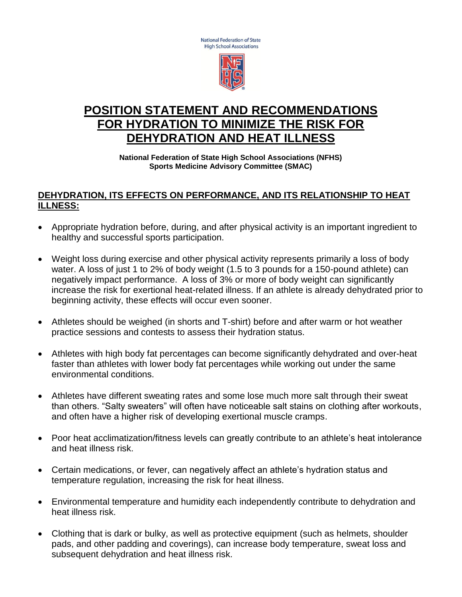National Federation of State **High School Associations** 



# **POSITION STATEMENT AND RECOMMENDATIONS FOR HYDRATION TO MINIMIZE THE RISK FOR DEHYDRATION AND HEAT ILLNESS**

**National Federation of State High School Associations (NFHS) Sports Medicine Advisory Committee (SMAC)**

### **DEHYDRATION, ITS EFFECTS ON PERFORMANCE, AND ITS RELATIONSHIP TO HEAT ILLNESS:**

- Appropriate hydration before, during, and after physical activity is an important ingredient to healthy and successful sports participation.
- Weight loss during exercise and other physical activity represents primarily a loss of body water. A loss of just 1 to 2% of body weight (1.5 to 3 pounds for a 150-pound athlete) can negatively impact performance. A loss of 3% or more of body weight can significantly increase the risk for exertional heat-related illness. If an athlete is already dehydrated prior to beginning activity, these effects will occur even sooner.
- Athletes should be weighed (in shorts and T-shirt) before and after warm or hot weather practice sessions and contests to assess their hydration status.
- Athletes with high body fat percentages can become significantly dehydrated and over-heat faster than athletes with lower body fat percentages while working out under the same environmental conditions.
- Athletes have different sweating rates and some lose much more salt through their sweat than others. "Salty sweaters" will often have noticeable salt stains on clothing after workouts, and often have a higher risk of developing exertional muscle cramps.
- Poor heat acclimatization/fitness levels can greatly contribute to an athlete's heat intolerance and heat illness risk.
- Certain medications, or fever, can negatively affect an athlete's hydration status and temperature regulation, increasing the risk for heat illness.
- Environmental temperature and humidity each independently contribute to dehydration and heat illness risk.
- Clothing that is dark or bulky, as well as protective equipment (such as helmets, shoulder pads, and other padding and coverings), can increase body temperature, sweat loss and subsequent dehydration and heat illness risk.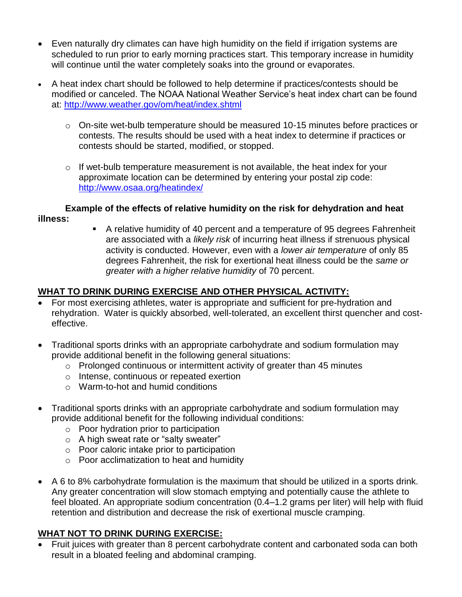- Even naturally dry climates can have high humidity on the field if irrigation systems are scheduled to run prior to early morning practices start. This temporary increase in humidity will continue until the water completely soaks into the ground or evaporates.
- A heat index chart should be followed to help determine if practices/contests should be modified or canceled. The NOAA National Weather Service's heat index chart can be found at:<http://www.weather.gov/om/heat/index.shtml>
	- o On-site wet-bulb temperature should be measured 10-15 minutes before practices or contests. The results should be used with a heat index to determine if practices or contests should be started, modified, or stopped.
	- $\circ$  If wet-bulb temperature measurement is not available, the heat index for your approximate location can be determined by entering your postal zip code: <http://www.osaa.org/heatindex/>

#### **Example of the effects of relative humidity on the risk for dehydration and heat illness:**

 A relative humidity of 40 percent and a temperature of 95 degrees Fahrenheit are associated with a *likely risk* of incurring heat illness if strenuous physical activity is conducted. However, even with a *lower air temperature* of only 85 degrees Fahrenheit, the risk for exertional heat illness could be the *same or greater with a higher relative humidity* of 70 percent.

# **WHAT TO DRINK DURING EXERCISE AND OTHER PHYSICAL ACTIVITY:**

- For most exercising athletes, water is appropriate and sufficient for pre-hydration and rehydration. Water is quickly absorbed, well-tolerated, an excellent thirst quencher and costeffective.
- Traditional sports drinks with an appropriate carbohydrate and sodium formulation may provide additional benefit in the following general situations:
	- o Prolonged continuous or intermittent activity of greater than 45 minutes
	- o Intense, continuous or repeated exertion
	- o Warm-to-hot and humid conditions
- Traditional sports drinks with an appropriate carbohydrate and sodium formulation may provide additional benefit for the following individual conditions:
	- o Poor hydration prior to participation
	- o A high sweat rate or "salty sweater"
	- o Poor caloric intake prior to participation
	- o Poor acclimatization to heat and humidity
- A 6 to 8% carbohydrate formulation is the maximum that should be utilized in a sports drink. Any greater concentration will slow stomach emptying and potentially cause the athlete to feel bloated. An appropriate sodium concentration (0.4–1.2 grams per liter) will help with fluid retention and distribution and decrease the risk of exertional muscle cramping.

### **WHAT NOT TO DRINK DURING EXERCISE:**

 Fruit juices with greater than 8 percent carbohydrate content and carbonated soda can both result in a bloated feeling and abdominal cramping.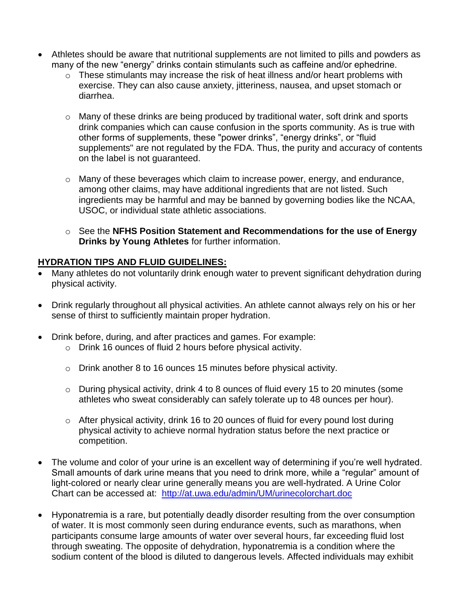- Athletes should be aware that nutritional supplements are not limited to pills and powders as many of the new "energy" drinks contain stimulants such as caffeine and/or ephedrine.
	- $\circ$  These stimulants may increase the risk of heat illness and/or heart problems with exercise. They can also cause anxiety, jitteriness, nausea, and upset stomach or diarrhea.
	- o Many of these drinks are being produced by traditional water, soft drink and sports drink companies which can cause confusion in the sports community. As is true with other forms of supplements, these "power drinks", "energy drinks", or "fluid supplements" are not regulated by the FDA. Thus, the purity and accuracy of contents on the label is not guaranteed.
	- o Many of these beverages which claim to increase power, energy, and endurance, among other claims, may have additional ingredients that are not listed. Such ingredients may be harmful and may be banned by governing bodies like the NCAA, USOC, or individual state athletic associations.
	- o See the **NFHS Position Statement and Recommendations for the use of Energy Drinks by Young Athletes** for further information.

## **HYDRATION TIPS AND FLUID GUIDELINES:**

- Many athletes do not voluntarily drink enough water to prevent significant dehydration during physical activity.
- Drink regularly throughout all physical activities. An athlete cannot always rely on his or her sense of thirst to sufficiently maintain proper hydration.
- Drink before, during, and after practices and games. For example:
	- o Drink 16 ounces of fluid 2 hours before physical activity.
	- o Drink another 8 to 16 ounces 15 minutes before physical activity.
	- o During physical activity, drink 4 to 8 ounces of fluid every 15 to 20 minutes (some athletes who sweat considerably can safely tolerate up to 48 ounces per hour).
	- o After physical activity, drink 16 to 20 ounces of fluid for every pound lost during physical activity to achieve normal hydration status before the next practice or competition.
- The volume and color of your urine is an excellent way of determining if you're well hydrated. Small amounts of dark urine means that you need to drink more, while a "regular" amount of light-colored or nearly clear urine generally means you are well-hydrated. A Urine Color Chart can be accessed at: <http://at.uwa.edu/admin/UM/urinecolorchart.doc>
- Hyponatremia is a rare, but potentially deadly disorder resulting from the over consumption of water. It is most commonly seen during endurance events, such as marathons, when participants consume large amounts of water over several hours, far exceeding fluid lost through sweating. The opposite of dehydration, hyponatremia is a condition where the sodium content of the blood is diluted to dangerous levels. Affected individuals may exhibit